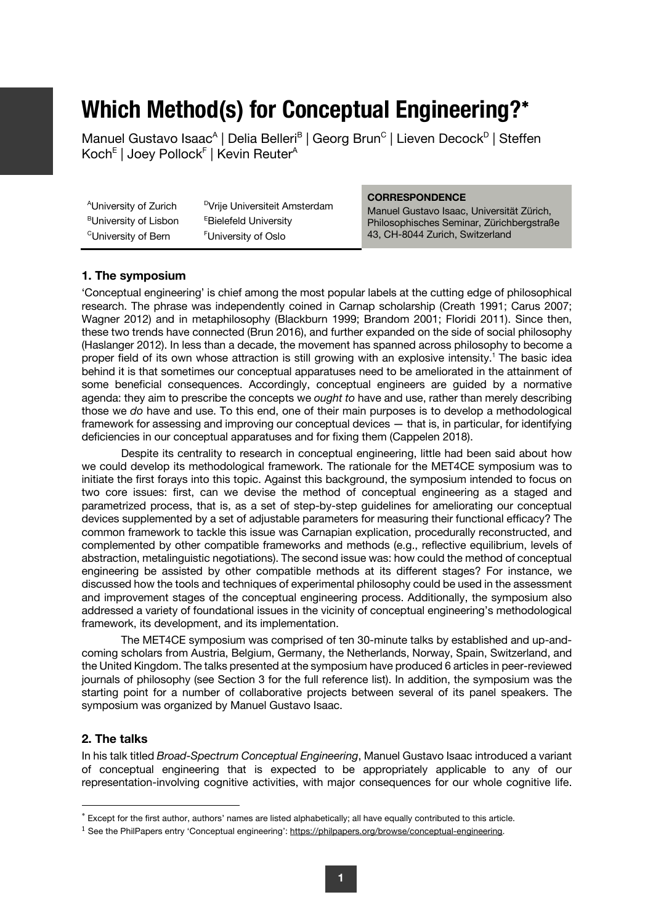# **Which Method(s) for Conceptual Engineering?**\*

Manuel Gustavo Isaac<sup>A</sup> | Delia Belleri<sup>B</sup> | Georg Brun<sup>c</sup> | Lieven Decock<sup>D</sup> | Steffen Koch<sup>E</sup> | Joey Pollock<sup>F</sup> | Kevin Reuter<sup>A</sup>

|                                   |                                           | <b>CORRESPONDENCE</b>                     |
|-----------------------------------|-------------------------------------------|-------------------------------------------|
| <sup>A</sup> University of Zurich | <sup>D</sup> Vrije Universiteit Amsterdam | Manuel Gustavo Isaac, Universität Zürich, |
| <sup>B</sup> University of Lisbon | <b>EBielefeld University</b>              | Philosophisches Seminar, Zürichbergstraße |
| <sup>C</sup> University of Bern   | <sup>F</sup> University of Oslo           | 43, CH-8044 Zurich, Switzerland           |

#### **1. The symposium**

'Conceptual engineering' is chief among the most popular labels at the cutting edge of philosophical research. The phrase was independently coined in Carnap scholarship (Creath 1991; Carus 2007; Wagner 2012) and in metaphilosophy (Blackburn 1999; Brandom 2001; Floridi 2011). Since then, these two trends have connected (Brun 2016), and further expanded on the side of social philosophy (Haslanger 2012). In less than a decade, the movement has spanned across philosophy to become a proper field of its own whose attraction is still growing with an explosive intensity.<sup>1</sup> The basic idea behind it is that sometimes our conceptual apparatuses need to be ameliorated in the attainment of some beneficial consequences. Accordingly, conceptual engineers are guided by a normative agenda: they aim to prescribe the concepts we *ought to* have and use, rather than merely describing those we *do* have and use. To this end, one of their main purposes is to develop a methodological framework for assessing and improving our conceptual devices — that is, in particular, for identifying deficiencies in our conceptual apparatuses and for fixing them (Cappelen 2018).

Despite its centrality to research in conceptual engineering, little had been said about how we could develop its methodological framework. The rationale for the MET4CE symposium was to initiate the first forays into this topic. Against this background, the symposium intended to focus on two core issues: first, can we devise the method of conceptual engineering as a staged and parametrized process, that is, as a set of step-by-step guidelines for ameliorating our conceptual devices supplemented by a set of adjustable parameters for measuring their functional efficacy? The common framework to tackle this issue was Carnapian explication, procedurally reconstructed, and complemented by other compatible frameworks and methods (e.g., reflective equilibrium, levels of abstraction, metalinguistic negotiations). The second issue was: how could the method of conceptual engineering be assisted by other compatible methods at its different stages? For instance, we discussed how the tools and techniques of experimental philosophy could be used in the assessment and improvement stages of the conceptual engineering process. Additionally, the symposium also addressed a variety of foundational issues in the vicinity of conceptual engineering's methodological framework, its development, and its implementation.

The MET4CE symposium was comprised of ten 30-minute talks by established and up-andcoming scholars from Austria, Belgium, Germany, the Netherlands, Norway, Spain, Switzerland, and the United Kingdom. The talks presented at the symposium have produced 6 articles in peer-reviewed journals of philosophy (see Section 3 for the full reference list). In addition, the symposium was the starting point for a number of collaborative projects between several of its panel speakers. The symposium was organized by Manuel Gustavo Isaac.

### **2. The talks**

In his talk titled *Broad-Spectrum Conceptual Engineering*, Manuel Gustavo Isaac introduced a variant of conceptual engineering that is expected to be appropriately applicable to any of our representation-involving cognitive activities, with major consequences for our whole cognitive life.

<sup>\*</sup> Except for the first author, authors' names are listed alphabetically; all have equally contributed to this article.

<sup>1</sup> See the PhilPapers entry 'Conceptual engineering': https://philpapers.org/browse/conceptual-engineering.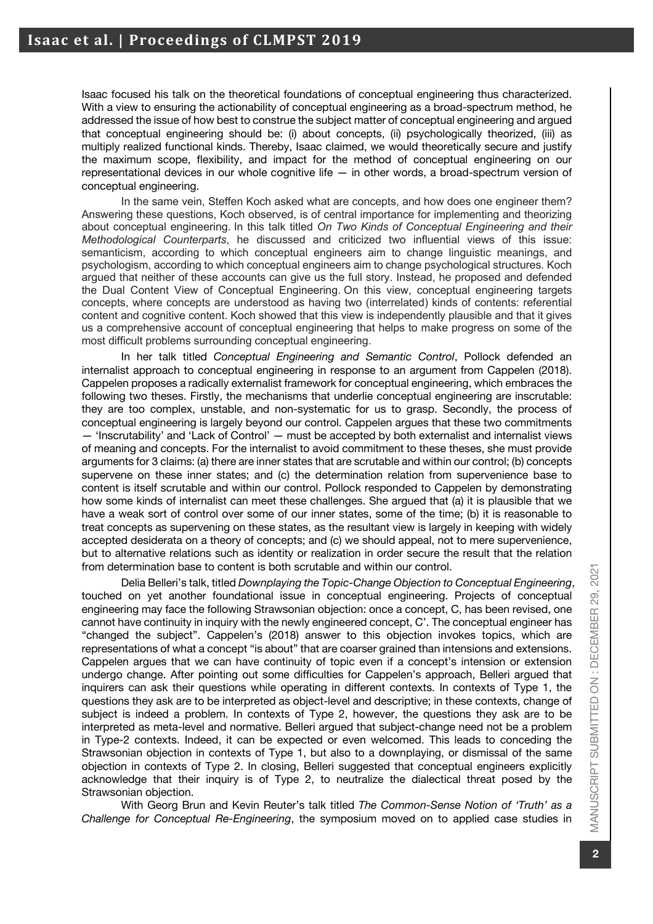Isaac focused his talk on the theoretical foundations of conceptual engineering thus characterized. With a view to ensuring the actionability of conceptual engineering as a broad-spectrum method, he addressed the issue of how best to construe the subject matter of conceptual engineering and argued that conceptual engineering should be: (i) about concepts, (ii) psychologically theorized, (iii) as multiply realized functional kinds. Thereby, Isaac claimed, we would theoretically secure and justify the maximum scope, flexibility, and impact for the method of conceptual engineering on our representational devices in our whole cognitive life — in other words, a broad-spectrum version of conceptual engineering.

In the same vein, Steffen Koch asked what are concepts, and how does one engineer them? Answering these questions, Koch observed, is of central importance for implementing and theorizing about conceptual engineering. In this talk titled *On Two Kinds of Conceptual Engineering and their Methodological Counterparts*, he discussed and criticized two influential views of this issue: semanticism, according to which conceptual engineers aim to change linguistic meanings, and psychologism, according to which conceptual engineers aim to change psychological structures. Koch argued that neither of these accounts can give us the full story. Instead, he proposed and defended the Dual Content View of Conceptual Engineering. On this view, conceptual engineering targets concepts, where concepts are understood as having two (interrelated) kinds of contents: referential content and cognitive content. Koch showed that this view is independently plausible and that it gives us a comprehensive account of conceptual engineering that helps to make progress on some of the most difficult problems surrounding conceptual engineering.

In her talk titled *Conceptual Engineering and Semantic Control*, Pollock defended an internalist approach to conceptual engineering in response to an argument from Cappelen (2018). Cappelen proposes a radically externalist framework for conceptual engineering, which embraces the following two theses. Firstly, the mechanisms that underlie conceptual engineering are inscrutable: they are too complex, unstable, and non-systematic for us to grasp. Secondly, the process of conceptual engineering is largely beyond our control. Cappelen argues that these two commitments — 'Inscrutability' and 'Lack of Control' — must be accepted by both externalist and internalist views of meaning and concepts. For the internalist to avoid commitment to these theses, she must provide arguments for 3 claims: (a) there are inner states that are scrutable and within our control; (b) concepts supervene on these inner states; and (c) the determination relation from supervenience base to content is itself scrutable and within our control. Pollock responded to Cappelen by demonstrating how some kinds of internalist can meet these challenges. She argued that (a) it is plausible that we have a weak sort of control over some of our inner states, some of the time; (b) it is reasonable to treat concepts as supervening on these states, as the resultant view is largely in keeping with widely accepted desiderata on a theory of concepts; and (c) we should appeal, not to mere supervenience, but to alternative relations such as identity or realization in order secure the result that the relation from determination base to content is both scrutable and within our control.

Delia Belleri's talk, titled *Downplaying the Topic-Change Objection to Conceptual Engineering*, touched on yet another foundational issue in conceptual engineering. Projects of conceptual engineering may face the following Strawsonian objection: once a concept, C, has been revised, one cannot have continuity in inquiry with the newly engineered concept, C'. The conceptual engineer has "changed the subject". Cappelen's (2018) answer to this objection invokes topics, which are representations of what a concept "is about" that are coarser grained than intensions and extensions. Cappelen argues that we can have continuity of topic even if a concept's intension or extension undergo change. After pointing out some difficulties for Cappelen's approach, Belleri argued that inquirers can ask their questions while operating in different contexts. In contexts of Type 1, the questions they ask are to be interpreted as object-level and descriptive; in these contexts, change of subject is indeed a problem. In contexts of Type 2, however, the questions they ask are to be interpreted as meta-level and normative. Belleri argued that subject-change need not be a problem in Type-2 contexts. Indeed, it can be expected or even welcomed. This leads to conceding the Strawsonian objection in contexts of Type 1, but also to a downplaying, or dismissal of the same objection in contexts of Type 2. In closing, Belleri suggested that conceptual engineers explicitly acknowledge that their inquiry is of Type 2, to neutralize the dialectical threat posed by the Strawsonian objection.

With Georg Brun and Kevin Reuter's talk titled *The Common-Sense Notion of 'Truth' as a Challenge for Conceptual Re-Engineering*, the symposium moved on to applied case studies in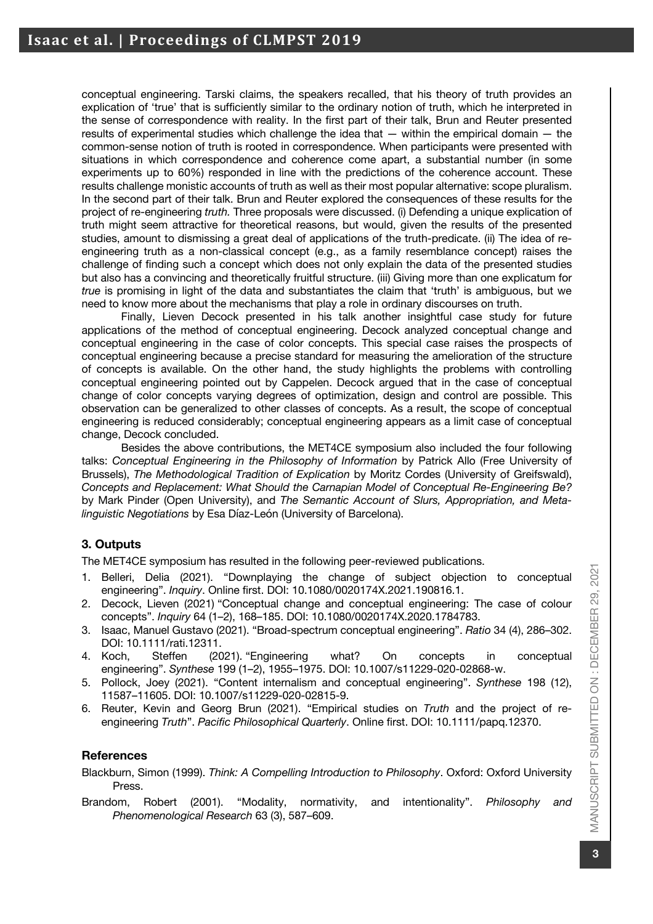conceptual engineering. Tarski claims, the speakers recalled, that his theory of truth provides an explication of 'true' that is sufficiently similar to the ordinary notion of truth, which he interpreted in the sense of correspondence with reality. In the first part of their talk, Brun and Reuter presented results of experimental studies which challenge the idea that — within the empirical domain — the common-sense notion of truth is rooted in correspondence. When participants were presented with situations in which correspondence and coherence come apart, a substantial number (in some experiments up to 60%) responded in line with the predictions of the coherence account. These results challenge monistic accounts of truth as well as their most popular alternative: scope pluralism. In the second part of their talk. Brun and Reuter explored the consequences of these results for the project of re-engineering *truth.* Three proposals were discussed. (i) Defending a unique explication of truth might seem attractive for theoretical reasons, but would, given the results of the presented studies, amount to dismissing a great deal of applications of the truth-predicate. (ii) The idea of reengineering truth as a non-classical concept (e.g., as a family resemblance concept) raises the challenge of finding such a concept which does not only explain the data of the presented studies but also has a convincing and theoretically fruitful structure. (iii) Giving more than one explicatum for *true* is promising in light of the data and substantiates the claim that 'truth' is ambiguous, but we need to know more about the mechanisms that play a role in ordinary discourses on truth.

Finally, Lieven Decock presented in his talk another insightful case study for future applications of the method of conceptual engineering. Decock analyzed conceptual change and conceptual engineering in the case of color concepts. This special case raises the prospects of conceptual engineering because a precise standard for measuring the amelioration of the structure of concepts is available. On the other hand, the study highlights the problems with controlling conceptual engineering pointed out by Cappelen. Decock argued that in the case of conceptual change of color concepts varying degrees of optimization, design and control are possible. This observation can be generalized to other classes of concepts. As a result, the scope of conceptual engineering is reduced considerably; conceptual engineering appears as a limit case of conceptual change, Decock concluded.

Besides the above contributions, the MET4CE symposium also included the four following talks: *Conceptual Engineering in the Philosophy of Information* by Patrick Allo (Free University of Brussels), *The Methodological Tradition of Explication* by Moritz Cordes (University of Greifswald), *Concepts and Replacement: What Should the Carnapian Model of Conceptual Re-Engineering Be?* by Mark Pinder (Open University), and *The Semantic Account of Slurs, Appropriation, and Metalinguistic Negotiations* by Esa Díaz-León (University of Barcelona).

## **3. Outputs**

The MET4CE symposium has resulted in the following peer-reviewed publications.

- 1. Belleri, Delia (2021). "Downplaying the change of subject objection to conceptual engineering". *Inquiry*. Online first. DOI: 10.1080/0020174X.2021.190816.1.
- 2. Decock, Lieven (2021) "Conceptual change and conceptual engineering: The case of colour concepts". *Inquiry* 64 (1–2), 168–185. DOI: 10.1080/0020174X.2020.1784783.
- 3. Isaac, Manuel Gustavo (2021). "Broad-spectrum conceptual engineering". *Ratio* 34 (4), 286–302. DOI: 10.1111/rati.12311.
- 4. Koch, Steffen (2021). "Engineering what? On concepts in conceptual engineering". *Synthese* 199 (1–2), 1955–1975. DOI: 10.1007/s11229-020-02868-w.
- 5. Pollock, Joey (2021). "Content internalism and conceptual engineering". *Synthese* 198 (12), 11587–11605. DOI: 10.1007/s11229-020-02815-9.
- 6. Reuter, Kevin and Georg Brun (2021). "Empirical studies on *Truth* and the project of reengineering *Truth*". *Pacific Philosophical Quarterly*. Online first. DOI: 10.1111/papq.12370.

### **References**

Blackburn, Simon (1999). *Think: A Compelling Introduction to Philosophy*. Oxford: Oxford University Press.

Brandom, Robert (2001). "Modality, normativity, and intentionality". *Philosophy and Phenomenological Research* 63 (3), 587–609.